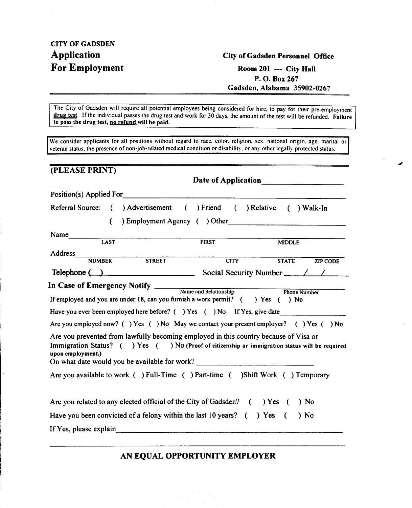### CITY OF GADSDEN For Employment Room 201 --- City Hall

#### Application City of Gadsden Personnel Office

P. O. Box 267 Gadsden, Alabama 35902-0267

#

The City of Gadsden will require all potential employees being considered for hire, to pay for their pre-employment drug test. If the individual passes the drug test and work for 30 days, the amount of the test will be refunded. Failure to pass the drug test, no refund will be paid.

We consider applicants for all positions without regard to race, color. religion, sex. national origin, age. marital or veteran status, the presence of non-job-related medical condition or disability, or any other legally protected status.

#### (PLEASE PRINT)

Date of Application

Position(s) Applied For Referral Source: ( ) Advertisement ( ) Friend ( ) Relative ( ) Walk-In

( ) Employment Agency ( ) Other

| Name    |             |              |               |
|---------|-------------|--------------|---------------|
|         | <b>LAST</b> | <b>FIRST</b> | <b>MIDDLE</b> |
| Address |             |              |               |

|             | NUMBER | <b>STREET</b> | CITY                   | STATE | <b>ZIP CODE</b> |  |
|-------------|--------|---------------|------------------------|-------|-----------------|--|
| Telephone ( |        |               | Social Security Number |       |                 |  |

In Case of Emergency Notify \_\_\_\_\_ Name and Relationship Phone Number

If employed and you are under 18, can you furnish a work permit?  $($  ) Yes  $( )$  No

Have you ever been employed here before? ( ) Yes ( ) No If Yes, give date

Are you employed now? ( ) Yes ( ) No May we contact your present employer? () Yes ( ) No

Are you prevented from lawfully becoming employed in this country because of Visa or Immigration Status? ( ) Yes ( ) No (Proof of citizenship or immigration status will be required upon employment.) On what date would you be available for work?

Are you available to work ( ) Full-Time ( ) Part-time ( )Shift Work ( ) Temporary

Are you related to any elected official of the City of Gadsden? ( ) Yes ( ) No

Have you been convicted of a felony within the last 10 years? () Yes () No

If Yes, please explain

 $\overline{a}$ 

AN EQUAL OPPORTUNITY EMPLOYER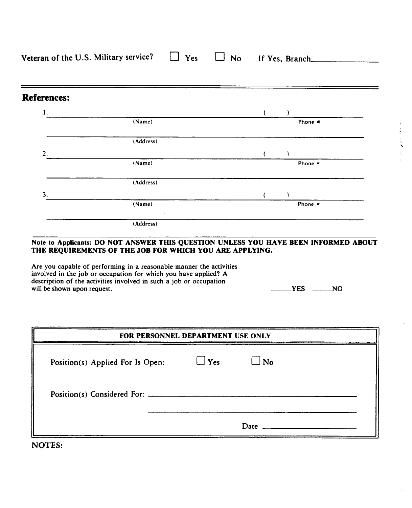| Veteran of the U.S. Military service? $\Box$ Yes $\Box$ No If Yes, Branch |  |  |
|---------------------------------------------------------------------------|--|--|
|                                                                           |  |  |
|                                                                           |  |  |

#### References:

| 1. |           |  |         |  |
|----|-----------|--|---------|--|
|    | (Name)    |  | Phone # |  |
|    | (Address) |  |         |  |
| 2. |           |  |         |  |
|    | (Name)    |  | Phone # |  |
|    | (Address) |  |         |  |
| 3. |           |  |         |  |
|    | (Name)    |  | Phone # |  |
|    | (Address) |  |         |  |

#### Note to Applicants: DO NOT ANSWER THIS QUESTION UNLESS YOU HAVE BEEN INFORMED ABOUT THE REQUIREMENTS OF THE JOB FOR WHICH YOU ARE APPLYING.

Are you capable of performing in a reasonable manner the activities involved in the job or occupation for which you have applied? A description of the activities involved in such a job or occupation will be shown upon request.

| . .<br>×. | R<br>J |
|-----------|--------|
|-----------|--------|

"

| FOR PERSONNEL DEPARTMENT USE ONLY |            |              |  |  |  |  |
|-----------------------------------|------------|--------------|--|--|--|--|
| Position(s) Applied For Is Open:  | $\Box$ Yes | $\square$ No |  |  |  |  |
| Position(s) Considered For:       |            |              |  |  |  |  |
|                                   |            | Date         |  |  |  |  |

NOTES: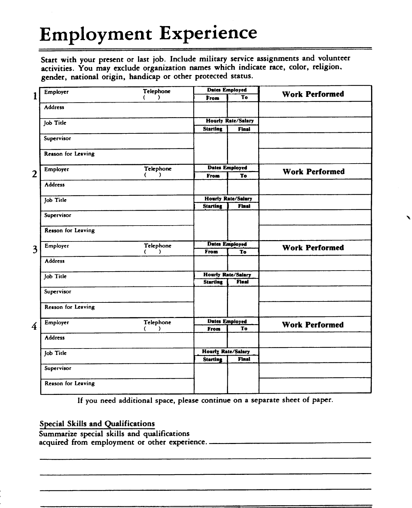## Employment Experience

Start with your present or last job. Include military service assignments and volunteer activities. You may exclude organization names which indicate race, color, religion. gender, national origin, handicap or other protected status.

|                | Employer           | Telephone |                           | <b>Dates Employed</b>     |                       |
|----------------|--------------------|-----------|---------------------------|---------------------------|-----------------------|
| $\mathbf{1}$   |                    | Δ.        | From                      | To                        | <b>Work Performed</b> |
|                | <b>Address</b>     |           |                           |                           |                       |
|                | Job Title          |           |                           | <b>Hourly Rate/Salary</b> |                       |
|                |                    |           | <b>Starting</b>           | <b>Final</b>              |                       |
|                | Supervisor         |           |                           |                           |                       |
|                | Reason for Leaving |           |                           |                           |                       |
|                | Employer           | Telephone |                           | <b>Dates Employed</b>     |                       |
| $\overline{2}$ |                    | λ.<br>€   | From                      | To                        | <b>Work Performed</b> |
|                | Address            |           |                           |                           |                       |
|                | Job Title          |           |                           | <b>Hourly Rate/Salary</b> |                       |
|                |                    |           | <b>Starting</b>           | <b>Final</b>              |                       |
|                | Supervisor         |           |                           |                           |                       |
|                | Reason for Leaving |           |                           |                           |                       |
| 3              | Employer           | Telephone |                           | <b>Dates Employed</b>     | <b>Work Performed</b> |
|                |                    | €<br>Υ,   | From                      | To                        |                       |
|                | <b>Address</b>     |           |                           |                           |                       |
|                | Job Title          |           |                           | <b>Hourly Rate/Salary</b> |                       |
|                |                    |           | <b>Starting</b>           | <b>Final</b>              |                       |
|                | Supervisor         |           |                           |                           |                       |
|                | Reason for Leaving |           |                           |                           |                       |
| $\overline{4}$ | Employer           | Telephone |                           | <b>Dates Employed</b>     | <b>Work Performed</b> |
|                |                    | )<br>€    | From                      | To                        |                       |
|                | Address            |           |                           |                           |                       |
|                | Job Title          |           | <b>Houriy Rate/Salary</b> |                           |                       |
|                |                    |           | <b>Starting</b>           | <b>Final</b>              |                       |
|                | Supervisor         |           |                           |                           |                       |
|                | Reason for Leaving |           |                           |                           |                       |
|                |                    |           |                           |                           |                       |

If you need additional space, please continue on a separate sheet of paper.

#### Special Skills and Qualifications

Summarize special skills and qualifications acquired from employment or other experience.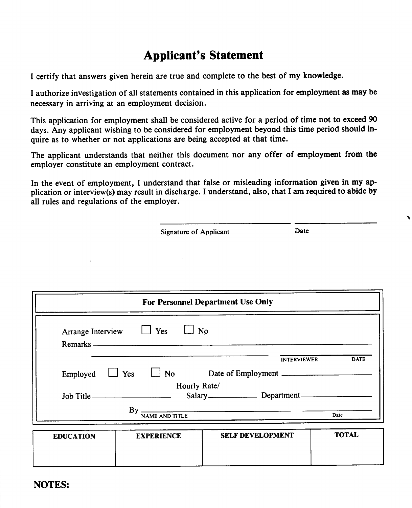### Applicant's Statement

I certify that answers given herein are true and complete to the best of my knowledge.

I authorize investigation of all statements contained in this application for employment as may be necessary in arriving at an employment decision.

This application for employment shall be considered active for a period of time not to exceed 90 days. Any applicant wishing to be considered for employment beyond this time period should inquire as to whether or not applications are being accepted at that time.

The applicant understands that neither this document nor any offer of employment from the employer constitute an employment contract.

In the event of employment, I understand that false or misleading information given in my application or interview(s) may result in discharge. I understand, also, that I am required to abide by all rules and regulations of the employer.

"-

|                  | Signature of Applicant                    | Date                              |              |
|------------------|-------------------------------------------|-----------------------------------|--------------|
|                  |                                           |                                   |              |
|                  |                                           |                                   |              |
|                  |                                           |                                   |              |
|                  |                                           | For Personnel Department Use Only |              |
|                  | Arrange Interview $\Box$ Yes<br>$\Box$ No |                                   |              |
|                  |                                           |                                   |              |
|                  |                                           | <b>INTERVIEWER</b>                | <b>DATE</b>  |
| Employed         |                                           | Yes No Date of Employment         |              |
|                  | Hourly Rate/                              |                                   |              |
|                  | Job Title                                 |                                   |              |
|                  |                                           | $By$ $\frac{1}{NAME AND TITLE}$   | Date         |
| <b>EDUCATION</b> | <b>EXPERIENCE</b>                         | <b>SELF DEVELOPMENT</b>           | <b>TOTAL</b> |
|                  |                                           |                                   |              |
|                  |                                           |                                   |              |

NOTES:

I i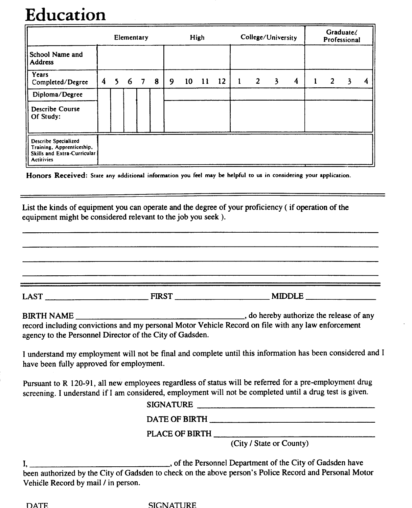## **Education**

|                                                                                                       | Elementary              |    |   |   |   | High |    |    | College/University |  |   | Graduate/<br>Professional |                  |   |   |   |   |
|-------------------------------------------------------------------------------------------------------|-------------------------|----|---|---|---|------|----|----|--------------------|--|---|---------------------------|------------------|---|---|---|---|
| School Name and<br><b>Address</b>                                                                     |                         |    |   |   |   |      |    |    |                    |  |   |                           |                  |   |   |   |   |
| Years<br>Completed/Degree                                                                             | $\overline{\mathbf{4}}$ | 5. | 6 | 7 | 8 | 9    | 10 | 11 | 12                 |  | 2 | 3                         | $\boldsymbol{4}$ | 1 | 2 | Ł | 4 |
| Diploma/Degree                                                                                        |                         |    |   |   |   |      |    |    |                    |  |   |                           |                  |   |   |   |   |
| <b>Describe Course</b><br>Of Study:                                                                   |                         |    |   |   |   |      |    |    |                    |  |   |                           |                  |   |   |   |   |
| <b>Describe Specialized</b><br>Training, Apprenticeship,<br>Skills and Extra-Curricular<br>Actitivies |                         |    |   |   |   |      |    |    |                    |  |   |                           |                  |   |   |   |   |

Honors Received: State any additional information you feel may be helpful to us in considering your application.

List the kinds of equipment you can operate and the degree of your proficiency ( if operation of the equipment might be considered relevant to the job you seek ).

LAST NOT THE FIRST THE RESOLUTION OF THE MIDDLE BIRTH NAME , do hereby authorize the release of any record including convictions and my personal Motor Vehicle Record on file with any law enforcement agency to the Personnel Director of the City of Gadsden. I understand my employment will not be final and complete until this information has been considered and I have been fully approved for employment, Pursuant to R 120-91, all new employees regardless of status will be referred for a pre-employment drug screening. I understand if I am considered, employment will not be completed until a drug test is given. SIGNATURE DATE OF BIRTH **Example 2018** The Second Second Second Second Second Second Second Second Second Second Second Second Second Second Second Second Second Second Second Second Second Second Second Second Second Second Second

PLACE OF BIRTH

(City / State or County)

I, of the Personnel Department of the City of Gadsden have been authorized by the City of Gadsden to check on the above person's Police Record and Personal Motor Vehicle Record by mail / in person.

OATF. SIGNATURE